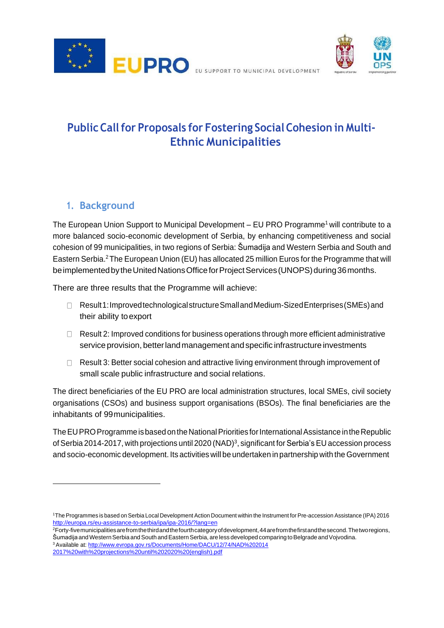



**PublicCallfor Proposals for Fostering SocialCohesion in Multi-Ethnic Municipalities**

# **1. Background**

The European Union Support to Municipal Development – EU PRO Programme<sup>1</sup> [w](#page-0-0)ill contribute to a more balanced socio-economic development of Serbia, by enhancing competitiveness and social cohesion of 99 municipalities, in two regions of Serbia: Šumadija and Western Serbia and South and Eastern Serbia.[2](#page-0-1)The European Union (EU) has allocated 25 million Euros for the Programme that will be implemented by the United Nations Office for Project Services (UNOPS) during 36 months.

There are three results that the Programme will achieve:

- Result1:ImprovedtechnologicalstructureSmallandMedium-SizedEnterprises(SMEs)and their ability toexport
- $\Box$  Result 2: Improved conditions for business operations through more efficient administrative service provision, better land management and specific infrastructure investments
- □ Result 3: Better social cohesion and attractive living environment through improvement of small scale public infrastructure and social relations.

The direct beneficiaries of the EU PRO are local administration structures, local SMEs, civil society organisations (CSOs) and business support organisations (BSOs). The final beneficiaries are the inhabitants of 99municipalities.

The EUPRO Programme is based on the National Priorities for International Assistance in the Republic of Serbia 2014-2017, with projections until 2020 (NAD)<sup>[3](#page-0-2)</sup>, significant for Serbia's EU accession process and socio-economic development. Its activities will be undertaken in partnership with the Government

<span id="page-0-2"></span><sup>3</sup>Available at[: http://www.evropa.gov.rs/Documents/Home/DACU/12/74/NAD%202014](http://www.evropa.gov.rs/Documents/Home/DACU/12/74/NAD%202014%202017%20with%20projections%20until%202020%20(english).pdf) [2017%20with%20projections%20until%202020%20\(english\).pdf](http://www.evropa.gov.rs/Documents/Home/DACU/12/74/NAD%202014%202017%20with%20projections%20until%202020%20(english).pdf)

<span id="page-0-0"></span><sup>1</sup>The Programmes is based on Serbia Local Development Action Document within the Instrument forPre-accession Assistance (IPA) 2016 <http://europa.rs/eu-assistance-to-serbia/ipa/ipa-2016/?lang=en>

<span id="page-0-1"></span><sup>2</sup>Forty-fivemunicipalitiesarefromthethirdandthefourthcategoryofdevelopment,44arefromthefirstandthesecond.Thetworegions, Šumadija and Western Serbia and South and Eastern Serbia, are less developed comparing to Belgrade and Vojvodina.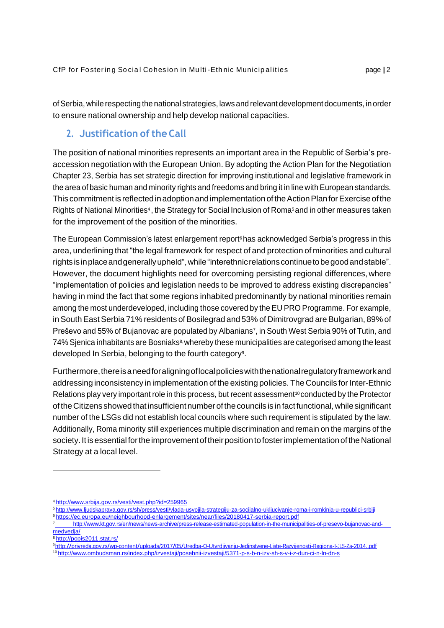ofSerbia, while respecting the national strategies, laws and relevant development documents, in order to ensure national ownership and help develop national capacities.

## **2. Justification oftheCall**

The position of national minorities represents an important area in the Republic of Serbia's preaccession negotiation with the European Union. By adopting the Action Plan for the Negotiation Chapter 23, Serbia has set strategic direction for improving institutional and legislative framework in the area of basic human and minority rights and freedoms and bring it in line with European standards. This commitment is reflected in adoption and implementation of the Action Plan for Exercise of the Rights of National Minorities<sup>4</sup>[,](#page-1-0) the Str[a](#page-1-1)tegy for Social Inclusion of Roma<sup>s</sup>and in other measures taken for the improvement of the position of the minorities.

The European Commission's la[t](#page-1-2)est enlargement report<sup>6</sup> has acknowledged Serbia's progress in this area, underlining that "the legal framework for respect of and protection of minorities and cultural rightsisinplaceandgenerallyupheld",while"interethnicrelationscontinuetobegoodandstable". However, the document highlights need for overcoming persisting regional differences, where "implementation of policies and legislation needs to be improved to address existing discrepancies" having in mind the fact that some regions inhabited predominantly by national minorities remain among the most underdeveloped, including those covered by the EU PRO Programme. For example, in South East Serbia 71% residents of Bosilegrad and 53% of Dimitrovgrad are Bulgarian, 89% of Preševo and 55% of Bujanovac are populated by Albanians<sup>7</sup> [,](#page-1-3) in South West Serbia 90% of Tutin, and 74% Sjenica inhabitants are Bosniaks<sup>[8,](#page-1-4)</sup> whereby these municipalities are categorised among the least developed In Serbia, belonging to the fourth category<sup>9</sup>[.](#page-1-5)

Furthermore, there is a need for aligning of local policies with the national regulatory framework and addressing inconsistency in implementation of the existing policies. The Councils for Inter-Ethnic Relations play very important role in this process, but recent assessment<sup>[10](#page-1-6)</sup> conducted by the Protector oftheCitizens showedthatinsufficientnumberofthecouncils is infactfunctional,whilesignificant number of the LSGs did not establish local councils where such requirement is stipulated by the law. Additionally, Roma minority still experiences multiple discrimination and remain on the margins of the society. It is essential for the improvement of their position to foster implementation of the National Strategy at a local level.

<span id="page-1-0"></span><sup>4</sup><http://www.srbija.gov.rs/vesti/vest.php?id=259965>

<span id="page-1-1"></span><sup>5</sup><http://www.ljudskaprava.gov.rs/sh/press/vesti/vlada-usvojila-strategiju-za-socijalno-ukljucivanje-roma-i-romkinja-u-republici-srbiji> <sup>6</sup><https://ec.europa.eu/neighbourhood-enlargement/sites/near/files/20180417-serbia-report.pdf>

<span id="page-1-3"></span><span id="page-1-2"></span>[http://www.kt.gov.rs/en/news/news-archive/press-release-estimated-population-in-the-municipalities-of-presevo-bujanovac-and](http://www.kt.gov.rs/en/news/news-archive/press-release-estimated-population-in-the-municipalities-of-presevo-bujanovac-and-)medvedja/

<span id="page-1-4"></span><sup>8</sup> <http://popis2011.stat.rs/>

<span id="page-1-5"></span><sup>9</sup> <http://privreda.gov.rs/wp-content/uploads/2017/05/Uredba-O-Utvrdjivanju-Jedinstvene-Liste-Razvijenosti-Regiona-I-JLS-Za-2014..pdf>

<span id="page-1-6"></span><sup>10</sup> <http://www.ombudsman.rs/index.php/izvestaji/posebnii-izvestaji/5371-p-s-b-n-izv-sh-s-v-i-z-dun-ci-n-ln-dn-s>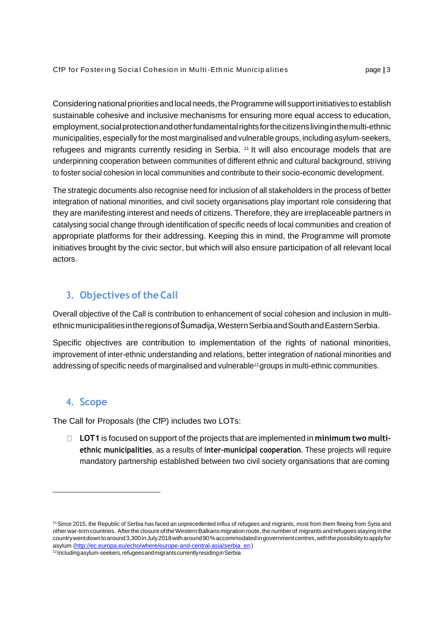Considering national priorities and local needs, the Programme will support initiatives to establish sustainable cohesive and inclusive mechanisms for ensuring more equal access to education, employment,socialprotectionandotherfundamentalrightsforthecitizenslivinginthemulti-ethnic municipalities, especially forthe most marginalised and vulnerable groups, including asylum-seekers, refugees and migrants currently residing in Serbia. <sup>[11](#page-2-0)</sup> It will also encourage models that are underpinning cooperation between communities of different ethnic and cultural background, striving to foster social cohesion in local communities and contribute to their socio-economic development.

The strategic documents also recognise need for inclusion of all stakeholders in the process of better integration of national minorities, and civil society organisations play important role considering that they are manifesting interest and needs of citizens. Therefore, they are irreplaceable partners in catalysing social change through identification of specific needs of local communities and creation of appropriate platforms for their addressing. Keeping this in mind, the Programme will promote initiatives brought by the civic sector, but which will also ensure participation of all relevant local actors.

# **3. Objectives of the Call**

Overall objective of the Call is contribution to enhancement of social cohesion and inclusion in multiethnicmunicipalitiesintheregionsofŠumadija,WesternSerbiaandSouthandEasternSerbia.

Specific objectives are contribution to implementation of the rights of national minorities, improvement of inter-ethnic understanding and relations, better integration of national minorities and addressing of specific needs of marginalised and vulnerable<sup>[12](#page-2-1)</sup> groups in multi-ethnic communities.

# **4. Scope**

The Call for Proposals (the CfP) includes two LOTs:

**LOT1** is focused on support of the projects that are implemented in **minimum two multiethnic municipalities**, as a results of **inter-municipal cooperation**. These projects will require mandatory partnership established between two civil society organisations that are coming

<span id="page-2-0"></span><sup>11</sup>Since 2015, the Republic of Serbia has faced an unprecedented influx of refugees and migrants, most from them fleeing from Syria and other war-torn countries. After the closure of the Western Balkans migration route, the number of migrants and refugees staying in the countrywentdowntoaround3,300inJuly2018witharound90%accommodatedingovernmentcentres,withthepossibilitytoapplyfor asylu[m \(http://ec.europa.eu/echo/where/europe-and-central-asia/serbia\\_en\)](http://ec.europa.eu/echo/where/europe-and-central-asia/serbia_en)

<span id="page-2-1"></span><sup>12</sup>Includingasylum-seekers,refugeesandmigrantscurrentlyresidinginSerbia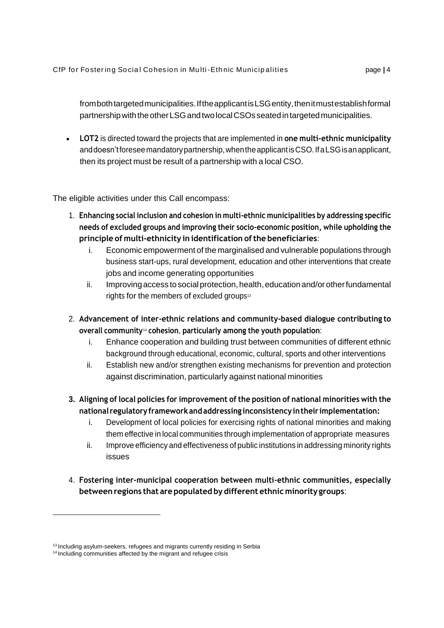from both targeted municipalities. If the applicant is LSG entity, then it must establish formal partnershipwiththeotherLSGandtwolocalCSOs seatedintargetedmunicipalities.

• **LOT2** is directed toward the projects that are implemented in **one multi-ethnic municipality**  anddoesn'tforeseemandatorypartnership,whentheapplicantisCSO.IfaLSGisanapplicant, then its project must be result of a partnership with a local CSO.

The eligible activities under this Call encompass:

- 1. **Enhancing social inclusion and cohesion in multi-ethnic municipalities by addressing specific needs of excluded groups and improving their socio-economic position, while upholding the principle of multi-ethnicity in identification ofthe beneficiaries**:
	- i. Economic empowerment of the marginalised and vulnerable populations through business start-ups, rural development, education and other interventions that create jobs and income generating opportunities
	- ii. Improving access to social protection, health, education and/or other fundamental right[s](#page-3-0) for the members of excluded groups<sup>13</sup>
- 2. **Advancement of inter-ethnic relations and community-based dialogue contributing to overall community**[14](#page-3-1) **cohesion**, **particularly among the youth population**:
	- i. Enhance cooperation and building trust between communities of different ethnic background through educational, economic, cultural, sports and other interventions
	- ii. Establish new and/or strengthen existing mechanisms for prevention and protection against discrimination, particularly against national minorities
- **3. Aligning of local policies for improvement of the position of national minorities with the national regulatoryframeworkandaddressing inconsistencyintheir implementation:**
	- i. Development of local policies for exercising rights of national minorities and making them effective in local communities through implementation of appropriate measures
	- ii. Improve efficiency and effectiveness of public institutions in addressing minority rights issues
- 4. **Fostering inter-municipal cooperation between multi-ethnic communities, especially betweenregions that arepopulated by different ethnic minority groups**:

<span id="page-3-0"></span><sup>&</sup>lt;sup>13</sup> Including asylum-seekers, refugees and migrants currently residing in Serbia

<span id="page-3-1"></span><sup>&</sup>lt;sup>14</sup> Including communities affected by the migrant and refugee crisis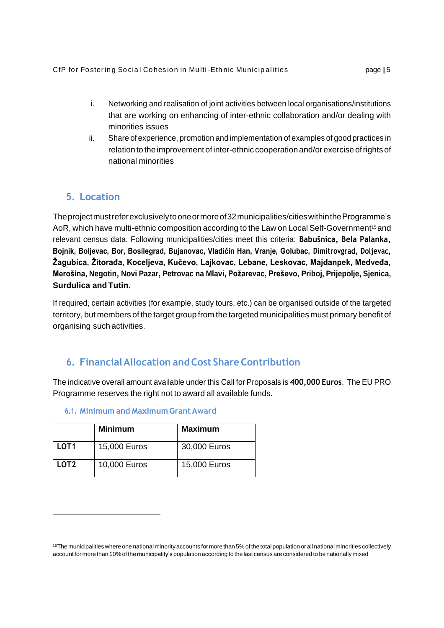- i. Networking and realisation of joint activities between local organisations/institutions that are working on enhancing of inter-ethnic collaboration and/or dealing with minorities issues
- ii. Share of experience, promotion and implementation of examples of good practices in relation to the improvement of inter-ethnic cooperation and/or exercise of rights of national minorities

# **5. Location**

Theprojectmustreferexclusivelytooneormoreof32municipalities/citieswithintheProgramme's AoR, which have multi-ethnic composition according to the Law on Local Self-Government<sup>[15](#page-4-0)</sup> and relevant census data. Following municipalities/cities meet this criteria: **Babušnica, Bela Palanka, Bojnik, Boljevac, Bor, Bosilegrad, Bujanovac, Vladičin Han, Vranje, Golubac, Dimitrovgrad, Doljevac, Žagubica, Žitorađa, Koceljeva, Kučevo, Lajkovac, Lebane, Leskovac, Majdanpek, Medveđa, Merošina, Negotin, Novi Pazar, Petrovac na Mlavi, Požarevac, Preševo, Priboj, Prijepolje, Sjenica, Surdulica and Tutin**.

If required, certain activities (for example, study tours, etc.) can be organised outside of the targeted territory, but members of the target group from the targeted municipalities must primary benefit of organising such activities.

# **6. FinancialAllocation andCost ShareContribution**

The indicative overall amount available under this Call for Proposals is **400,000 Euros**. The EU PRO Programme reserves the right not to award all available funds.

|                  | <b>Minimum</b> | <b>Maximum</b> |
|------------------|----------------|----------------|
| LOT <sub>1</sub> | 15,000 Euros   | 30,000 Euros   |
| LOT <sub>2</sub> | 10,000 Euros   | 15,000 Euros   |

## **6.1. Minimum and Maximum Grant Award**

<span id="page-4-0"></span><sup>15</sup>Themunicipalities where one national minorityaccounts for more than 5%of the total population or all national minorities collectively account for more than 10% of the municipality's population according to the last census are considered to be nationallymixed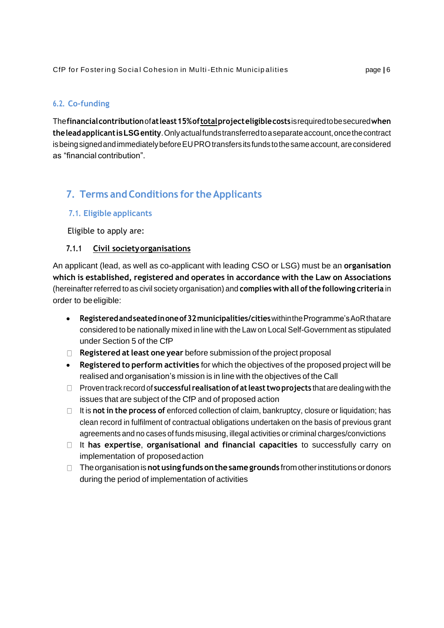### **6.2. Co-funding**

The**financialcontribution**of**atleast15%oftotalprojecteligiblecosts**isrequiredtobesecured**when theleadapplicantisLSGentity**.Onlyactualfundstransferredtoaseparateaccount,oncethecontract is being signed and immediately before EU PRO transfers its funds to the same account, are considered as "financial contribution".

# **7. Terms andConditions for theApplicants**

#### **7.1. Eligible applicants**

Eligible to apply are:

#### **7.1.1 Civil societyorganisations**

An applicant (lead, as well as co-applicant with leading CSO or LSG) must be an **organisation which is established, registered and operates in accordance with the Law on Associations**  (hereinafter referred to as civil society organisation) and **complies with all ofthe following criteria** in order to beeligible:

- **Registeredandseatedinoneof32municipalities/cities**withintheProgramme'sAoRthatare considered to be nationally mixed in line with the Law on Local Self-Government as stipulated under Section 5 of the CfP
- **Registered atleast one year** before submission of the project proposal
- **Registered to perform activities** for which the objectives of the proposed project will be realised and organisation's mission is in line with the objectives of the Call
- Proven track record of **successful realisation of atleasttwoprojects** that are dealing with the issues that are subject of the CfP and of proposed action
- It is **not in the process of** enforced collection of claim, bankruptcy, closure or liquidation; has clean record in fulfilment of contractual obligations undertaken on the basis of previous grant agreements and no cases of funds misusing, illegal activities or criminal charges/convictions
- It **has expertise**, **organisational and financial capacities** to successfully carry on implementation of proposedaction
- Theorganisationis**notusing fundsonthesamegrounds** fromotherinstitutionsordonors during the period of implementation of activities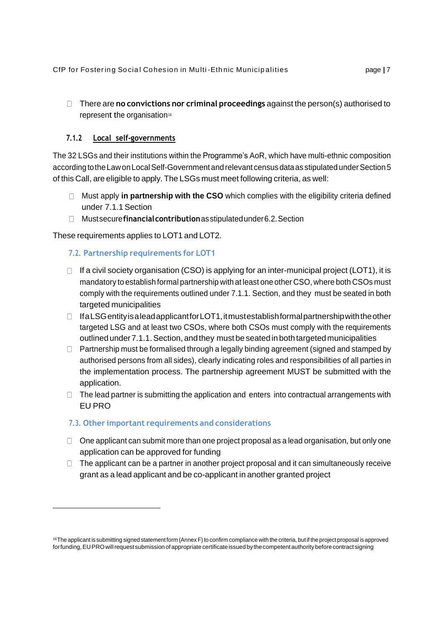There are **no convictions nor criminal proceedings** against the person(s) authorised to represent the organisation<sup>[16](#page-6-0)</sup>

## **7.1.2 Local self-governments**

The 32 LSGs and their institutions within the Programme's AoR, which have multi-ethnic composition according to the Law on Local Self-Government and relevant census data as stipulated under Section 5 of this Call, are eligible to apply. The LSGs must meet following criteria, as well:

- Must apply **in partnership with the CSO** which complies with the eligibility criteria defined under 7.1.1 Section
- Mustsecure**financialcontribution**asstipulatedunder6.2.Section

These requirements applies to LOT1 and LOT2.

## **7.2. Partnership requirements for LOT1**

- $\Box$  If a civil society organisation (CSO) is applying for an inter-municipal project (LOT1), it is mandatory to establish formal partnership with at least one other CSO, where both CSOs must comply with the requirements outlined under 7.1.1. Section, and they must be seated in both targeted municipalities
- $\Box$  IfaLSGentity is a lead applicant for LOT1, it mustestablish formal partnership with the other targeted LSG and at least two CSOs, where both CSOs must comply with the requirements outlinedunder7.1.1.Section, andthey must be seated inbothtargetedmunicipalities
- $\Box$  Partnership must be formalised through a legally binding agreement (signed and stamped by authorised persons from all sides), clearly indicating roles and responsibilities of all parties in the implementation process. The partnership agreement MUST be submitted with the application.
- $\Box$  The lead partner is submitting the application and enters into contractual arrangements with EU PRO

## **7.3. Other important requirements and considerations**

- $\Box$  One applicant can submit more than one project proposal as a lead organisation, but only one application can be approved for funding
- $\Box$  The applicant can be a partner in another project proposal and it can simultaneously receive grant as a lead applicant and be co-applicant in another granted project

<span id="page-6-0"></span><sup>&</sup>lt;sup>16</sup>The applicant is submitting signed statement form (Annex F) to confirm compliance with the criteria, but if the project proposal is approved for funding, EUPRO will request submission of appropriate certificate issued by the competent authority before contract signing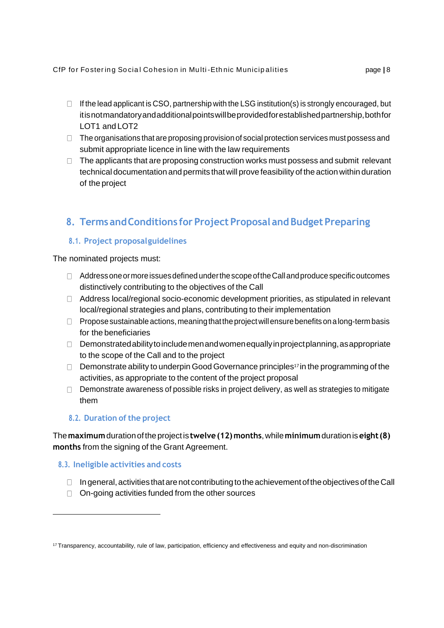- $\Box$  If the lead applicant is CSO, partnership with the LSG institution(s) is strongly encouraged, but itisnotmandatoryandadditionalpointswillbeprovidedforestablishedpartnership,bothfor LOT1 and LOT2
- $\Box$  The organisations that are proposing provision of social protection services must possess and submit appropriate licence in line with the law requirements
- $\Box$  The applicants that are proposing construction works must possess and submit relevant technical documentation and permits thatwill prove feasibility of the action within duration of the project

# **8. TermsandConditions for Project Proposal andBudgetPreparing**

## **8.1. Project proposalguidelines**

The nominated projects must:

- $\Box$  Address one or more issues defined under the scope of the Call and produce specific outcomes distinctively contributing to the objectives of the Call
- Address local/regional socio-economic development priorities, as stipulated in relevant local/regional strategies and plans, contributing to their implementation
- $\Box$  Propose sustainable actions, meaning that the project will ensure benefits on a long-term basis for the beneficiaries
- Demonstrated ability to include men and women equally in project planning, as appropriate to the scope of the Call and to the project
- Demonstrate ability to underpin Good Governance principles<sup>[17](#page-7-0)</sup> in the programming of the activities, as appropriate to the content of the project proposal
- $\Box$  Demonstrate awareness of possible risks in project delivery, as well as strategies to mitigate them

## **8.2. Duration of the project**

The**maximum**durationoftheprojectis**twelve(12)months**,while**minimum**durationis**eight(8) months** from the signing of the Grant Agreement.

## **8.3. Ineligible activities and costs**

- $\Box$  In general, activities that are not contributing to the achievement of the objectives of the Call
- $\Box$  On-going activities funded from the other sources

<span id="page-7-0"></span><sup>17</sup> Transparency, accountability, rule of law, participation, efficiency and effectiveness and equity and non-discrimination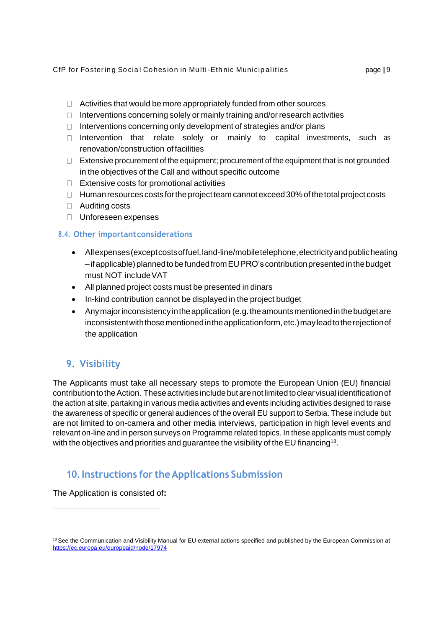- $\Box$  Activities that would be more appropriately funded from other sources
- $\Box$  Interventions concerning solely or mainly training and/or research activities
- $\Box$  Interventions concerning only development of strategies and/or plans
- $\Box$  Intervention that relate solely or mainly to capital investments, such as renovation/construction of facilities
- $\Box$  Extensive procurement of the equipment; procurement of the equipment that is not grounded in the objectives of the Call and without specific outcome
- $\Box$  Extensive costs for promotional activities
- $\Box$  Human resources costs for the project team cannot exceed 30% of the total project costs
- Auditing costs
- □ Unforeseen expenses

#### **8.4. Other importantconsiderations**

- Allexpenses(exceptcostsoffuel,land-line/mobiletelephone,electricityandpublicheating  $-i$ fapplicable) planned to be funded from EUPRO's contribution presented in the budget must NOT includeVAT
- All planned project costs must be presented in dinars
- In-kind contribution cannot be displayed in the project budget
- Any major inconsistency in the application (e.g. the amounts mentioned in the budget are inconsistent with those mentioned in the application form, etc.) may lead to the rejection of the application

## **9. Visibility**

The Applicants must take all necessary steps to promote the European Union (EU) financial contribution to the Action. These activities include but are not limited to clear visual identification of the action at site, partaking in various media activities and events including activities designed to raise the awareness of specific or general audiences of the overall EU support to Serbia. These include but are not limited to on-camera and other media interviews, participation in high level events and relevant on-line and in person surveys on Programme related topics. In these applicants must comply with the objectives and priorities and guarantee the visibility of the EU financing<sup>[18](#page-8-0)</sup>.

## **10.Instructions for theApplications Submission**

The Application is consisted of**:**

<span id="page-8-0"></span><sup>&</sup>lt;sup>18</sup> See the Communication and Visibility Manual for EU external actions specified and published by the European Commission at <https://ec.europa.eu/europeaid/node/17974>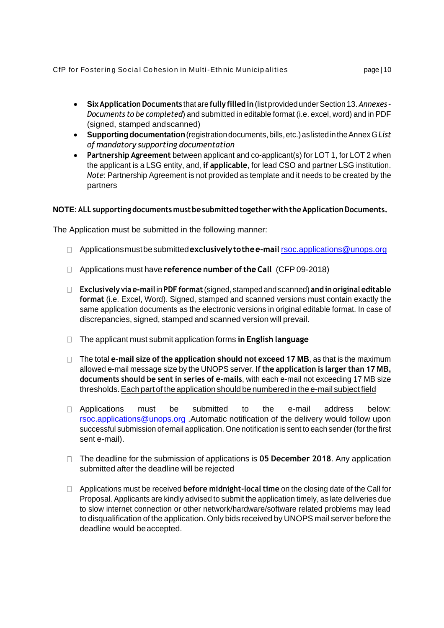- **SixApplicationDocuments** that are **fully filledin**(listprovided underSection 13.*Annexes – Documents to be completed*) and submitted in editable format (i.e. excel, word) and in PDF (signed, stamped andscanned)
- **Supportingdocumentation**(registrationdocuments,bills,etc.)aslistedintheAnnexG*List of mandatory supporting documentation*
- **Partnership Agreement** between applicant and co-applicant(s) for LOT 1, for LOT 2 when the applicant is a LSG entity, and, **if applicable**, for lead CSO and partner LSG institution. *Note*: Partnership Agreement is not provided as template and it needs to be created by the partners

### **NOTE:ALLsupportingdocuments mustbesubmittedtogetherwiththeApplicationDocuments.**

The Application must be submitted in the following manner:

- Applicationsmustbesubmitted**exclusivelytothee-mail** [rsoc.applications@unops.org](mailto:rsoc.applications@unops.org)
- Applications must have **reference number ofthe Call** (CFP 09-2018)
- **Exclusively viae-mail**in**PDFformat**(signed, stamped and scanned) **andinoriginaleditable format** (i.e. Excel, Word). Signed, stamped and scanned versions must contain exactly the same application documents as the electronic versions in original editable format. In case of discrepancies, signed, stamped and scanned version will prevail.
- The applicant must submit application forms **in English language**
- The total **e-mail size of the application should not exceed 17 MB**, as that is the maximum allowed e-mail message size by the UNOPS server. **If the application is larger than 17 MB, documents should be sent in series of e-mails**, with each e-mail not exceeding 17 MB size thresholds. Each part of the application should be numbered in the e-mail subject field
- D Applications must be submitted to the e-mail address below[:](mailto:rsoc.applications@unops.org) [rsoc.applications@unops.org](mailto:rsoc.applications@unops.org) .Automatic notification of the delivery would follow upon successful submission of email application. One notification is sent to each sender (forthe first sent e-mail).
- The deadline for the submission of applications is **05 December 2018**. Any application submitted after the deadline will be rejected
- Applications must be received **before midnight-local time** on the closing date of the Call for Proposal. Applicants are kindly advised to submit the application timely, as late deliveries due to slow internet connection or other network/hardware/software related problems may lead to disqualification of the application. Only bids received by UNOPS mail server before the deadline would beaccepted.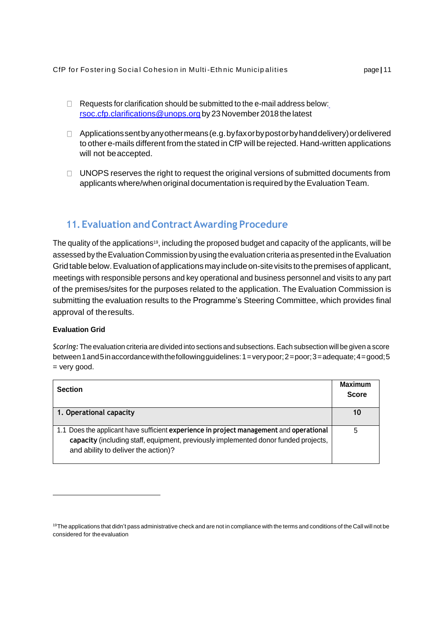- $\Box$  Requests for clarification should be submitted to the e-mail address below: [rsoc.cfp.clarifications@unops.org](mailto:rsoc.cfp.clarifications@unops.org) by23November2018thelatest
- $\Box$  Applications sent by any other means (e.g. by fax or by post or by hand delivery) or delivered to other e-mails different from the stated in CfP will be rejected. Hand-written applications will not beaccepted.
- $\Box$  UNOPS reserves the right to request the original versions of submitted documents from applicants where/when original documentation is required by the Evaluation Team.

## **11. Evaluation and ContractAwarding Procedure**

The quality of the applications<sup>[19](#page-10-0)</sup>, including the proposed budget and capacity of the applicants, will be assessed by the Evaluation Commission by using the evaluation criteria as presented in the Evaluation Grid table below. Evaluation of applications may include on-site visits to the premises of applicant, meetings with responsible persons and key operational and business personnel and visits to any part of the premises/sites for the purposes related to the application. The Evaluation Commission is submitting the evaluation results to the Programme's Steering Committee, which provides final approval of theresults.

#### **Evaluation Grid**

*Scoring:* The evaluation criteria are divided into sections and subsections.Each subsection will be given a score between1and5inaccordancewiththefollowingguidelines:1=verypoor;2=poor;3=adequate;4=good;5 = very good.

| <b>Section</b>                                                                                                                                                                                                        | <b>Maximum</b><br><b>Score</b> |
|-----------------------------------------------------------------------------------------------------------------------------------------------------------------------------------------------------------------------|--------------------------------|
| 1. Operational capacity                                                                                                                                                                                               | 10                             |
| 1.1 Does the applicant have sufficient experience in project management and operational<br>capacity (including staff, equipment, previously implemented donor funded projects,<br>and ability to deliver the action)? | 5                              |

<span id="page-10-0"></span><sup>&</sup>lt;sup>19</sup>The applications that didn't pass administrative check and are not in compliance with the terms and conditions of the Call will not be considered for theevaluation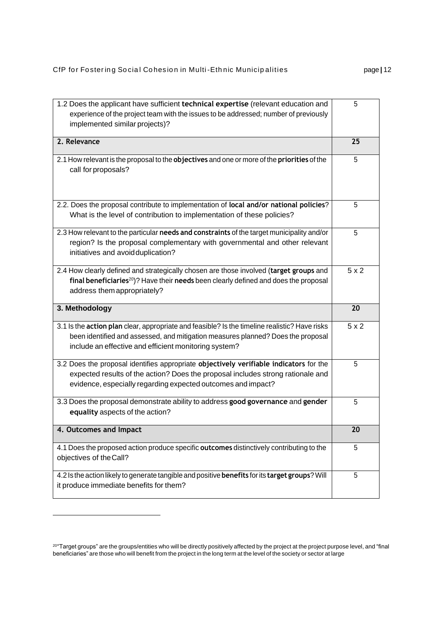| implemented similar projects)?                                                                                                                                                                                                             |     |
|--------------------------------------------------------------------------------------------------------------------------------------------------------------------------------------------------------------------------------------------|-----|
| 2. Relevance                                                                                                                                                                                                                               | 25  |
| 2.1 How relevant is the proposal to the objectives and one or more of the priorities of the<br>call for proposals?                                                                                                                         | 5   |
| 2.2. Does the proposal contribute to implementation of local and/or national policies?<br>What is the level of contribution to implementation of these policies?                                                                           | 5   |
| 2.3 How relevant to the particular needs and constraints of the target municipality and/or<br>region? Is the proposal complementary with governmental and other relevant<br>initiatives and avoid duplication?                             | 5   |
| 2.4 How clearly defined and strategically chosen are those involved (target groups and<br>final beneficiaries <sup>20</sup> )? Have their needs been clearly defined and does the proposal<br>address them appropriately?                  | 5x2 |
| 3. Methodology                                                                                                                                                                                                                             | 20  |
| 3.1 Is the action plan clear, appropriate and feasible? Is the timeline realistic? Have risks<br>been identified and assessed, and mitigation measures planned? Does the proposal<br>include an effective and efficient monitoring system? | 5x2 |
| 3.2 Does the proposal identifies appropriate objectively verifiable indicators for the<br>expected results of the action? Does the proposal includes strong rationale and<br>evidence, especially regarding expected outcomes and impact?  |     |
| 3.3 Does the proposal demonstrate ability to address good governance and gender<br>equality aspects of the action?                                                                                                                         | 5   |
| 4. Outcomes and Impact                                                                                                                                                                                                                     | 20  |
| 4.1 Does the proposed action produce specific outcomes distinctively contributing to the<br>objectives of the Call?                                                                                                                        |     |
| 4.2 Is the action likely to generate tangible and positive benefits for its target groups? Will<br>it produce immediate benefits for them?                                                                                                 |     |

5

<span id="page-11-0"></span><sup>20</sup>"Target groups" are the groups/entities who will be directly positively affected by the project at the project purpose level, and "final beneficiaries" are those who will benefit from the project in the long term at the level of the society or sector at large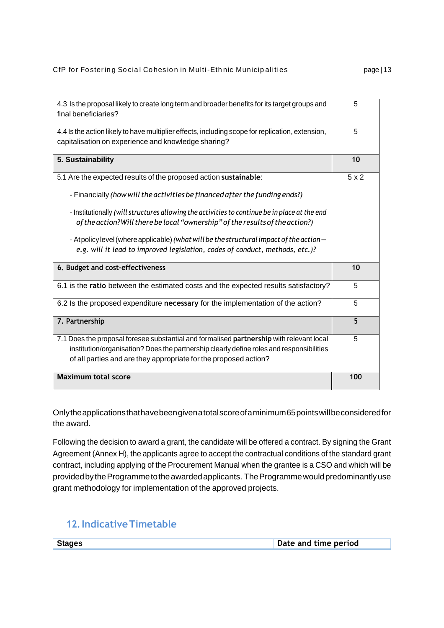| 4.3 Is the proposal likely to create long term and broader benefits for its target groups and<br>final beneficiaries?                                   |     |
|---------------------------------------------------------------------------------------------------------------------------------------------------------|-----|
| 4.4 Is the action likely to have multiplier effects, including scope for replication, extension,<br>capitalisation on experience and knowledge sharing? |     |
| 5. Sustainability                                                                                                                                       | 10  |
| 5.1 Are the expected results of the proposed action sustainable:                                                                                        | 5x2 |
| - Financially (how will the activities be financed after the funding ends?)                                                                             |     |
| - Institutionally (will structures allowing the activities to continue be in place at the end                                                           |     |
| of the action? Will there be local "ownership" of the results of the action?)                                                                           |     |
| - Atpolicy level (where applicable) (what will be the structural impact of the action -                                                                 |     |
| e.g. will it lead to improved legislation, codes of conduct, methods, etc.)?                                                                            |     |
| 6. Budget and cost-effectiveness                                                                                                                        | 10  |
| 6.1 is the ratio between the estimated costs and the expected results satisfactory?                                                                     | 5   |
| 6.2 Is the proposed expenditure necessary for the implementation of the action?                                                                         |     |
| 7. Partnership                                                                                                                                          | 5   |
| 7.1 Does the proposal foresee substantial and formalised partnership with relevant local                                                                | 5   |
| institution/organisation? Does the partnership clearly define roles and responsibilities                                                                |     |
| of all parties and are they appropriate for the proposed action?                                                                                        |     |
| <b>Maximum total score</b>                                                                                                                              | 100 |

Onlytheapplicationsthathavebeengivenatotalscoreofaminimum65pointswillbeconsideredfor the award.

Following the decision to award a grant, the candidate will be offered a contract. By signing the Grant Agreement (Annex H), the applicants agree to accept the contractual conditions of the standard grant contract, including applying of the Procurement Manual when the grantee is a CSO and which will be providedbytheProgrammetotheawardedapplicants. TheProgrammewouldpredominantlyuse grant methodology for implementation of the approved projects.

# **12.IndicativeTimetable**

| <b>Stages</b> | Date and time period |
|---------------|----------------------|
|               |                      |